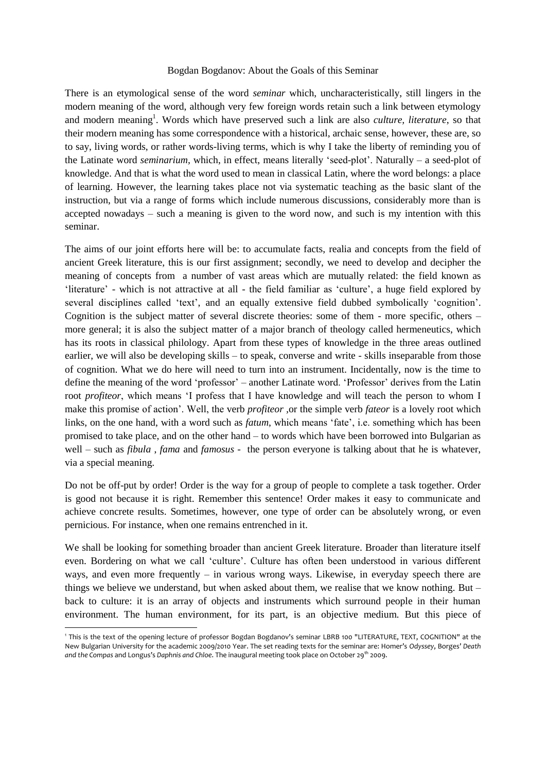## Bogdan Bogdanov: About the Goals of this Seminar

There is an etymological sense of the word *seminar* which, uncharacteristically, still lingers in the modern meaning of the word, although very few foreign words retain such a link between etymology and modern meaning<sup>1</sup>. Words which have preserved such a link are also *culture, literature*, so that their modern meaning has some correspondence with a historical, archaic sense, however, these are, so to say, living words, or rather words-living terms, which is why I take the liberty of reminding you of the Latinate word *seminarium,* which, in effect, means literally 'seed-plot'. Naturally – a seed-plot of knowledge. And that is what the word used to mean in classical Latin, where the word belongs: a place of learning. However, the learning takes place not via systematic teaching as the basic slant of the instruction, but via a range of forms which include numerous discussions, considerably more than is accepted nowadays – such a meaning is given to the word now, and such is my intention with this seminar.

The aims of our joint efforts here will be: to accumulate facts, realia and concepts from the field of ancient Greek literature, this is our first assignment; secondly, we need to develop and decipher the meaning of concepts from a number of vast areas which are mutually related: the field known as 'literature' - which is not attractive at all - the field familiar as 'culture', a huge field explored by several disciplines called 'text', and an equally extensive field dubbed symbolically 'cognition'. Cognition is the subject matter of several discrete theories: some of them - more specific, others – more general; it is also the subject matter of a major branch of theology called hermeneutics, which has its roots in classical philology. Apart from these types of knowledge in the three areas outlined earlier, we will also be developing skills – to speak, converse and write - skills inseparable from those of cognition. What we do here will need to turn into an instrument. Incidentally, now is the time to define the meaning of the word 'professor' – another Latinate word. 'Professor' derives from the Latin root *profiteor*, which means 'I profess that I have knowledge and will teach the person to whom I make this promise of action'. Well, the verb *profiteor ,*or the simple verb *fateor* is a lovely root which links, on the one hand, with a word such as *fatum*, which means 'fate', i.e. something which has been promised to take place, and on the other hand – to words which have been borrowed into Bulgarian as well – such as *fibula* , *fama* and *famosus -* the person everyone is talking about that he is whatever, via a special meaning.

Do not be off-put by order! Order is the way for a group of people to complete a task together. Order is good not because it is right. Remember this sentence! Order makes it easy to communicate and achieve concrete results. Sometimes, however, one type of order can be absolutely wrong, or even pernicious. For instance, when one remains entrenched in it.

We shall be looking for something broader than ancient Greek literature. Broader than literature itself even. Bordering on what we call 'culture'. Culture has often been understood in various different ways, and even more frequently – in various wrong ways. Likewise, in everyday speech there are things we believe we understand, but when asked about them, we realise that we know nothing. But – back to culture: it is an array of objects and instruments which surround people in their human environment. The human environment, for its part, is an objective medium. But this piece of

1

<sup>1</sup> This is the text of the opening lecture of professor Bogdan Bogdanov's seminar LBRB 100 "LITERATURE, TEXT, COGNITION" at the New Bulgarian University for the academic 2009/2010 Year. The set reading texts for the seminar are: Homer's *Odyssey*, Borges' *Death and the Compas* and Longus's *Daphnis and Chloe*. The inaugural meeting took place on October 29th 2009.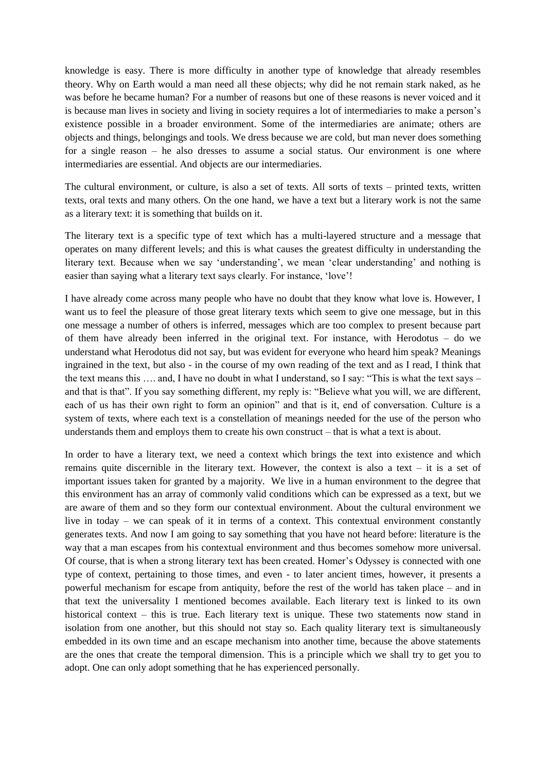knowledge is easy. There is more difficulty in another type of knowledge that already resembles theory. Why on Earth would a man need all these objects; why did he not remain stark naked, as he was before he became human? For a number of reasons but one of these reasons is never voiced and it is because man lives in society and living in society requires a lot of intermediaries to make a person's existence possible in a broader environment. Some of the intermediaries are animate; others are objects and things, belongings and tools. We dress because we are cold, but man never does something for a single reason – he also dresses to assume a social status. Our environment is one where intermediaries are essential. And objects are our intermediaries.

The cultural environment, or culture, is also a set of texts. All sorts of texts – printed texts, written texts, oral texts and many others. On the one hand, we have a text but a literary work is not the same as a literary text: it is something that builds on it.

The literary text is a specific type of text which has a multi-layered structure and a message that operates on many different levels; and this is what causes the greatest difficulty in understanding the literary text. Because when we say 'understanding', we mean 'clear understanding' and nothing is easier than saying what a literary text says clearly. For instance, 'love'!

I have already come across many people who have no doubt that they know what love is. However, I want us to feel the pleasure of those great literary texts which seem to give one message, but in this one message a number of others is inferred, messages which are too complex to present because part of them have already been inferred in the original text. For instance, with Herodotus – do we understand what Herodotus did not say, but was evident for everyone who heard him speak? Meanings ingrained in the text, but also - in the course of my own reading of the text and as I read, I think that the text means this …. and, I have no doubt in what I understand, so I say: "This is what the text says – and that is that". If you say something different, my reply is: "Believe what you will, we are different, each of us has their own right to form an opinion" and that is it, end of conversation. Culture is a system of texts, where each text is a constellation of meanings needed for the use of the person who understands them and employs them to create his own construct – that is what a text is about.

In order to have a literary text, we need a context which brings the text into existence and which remains quite discernible in the literary text. However, the context is also a text – it is a set of important issues taken for granted by a majority. We live in a human environment to the degree that this environment has an array of commonly valid conditions which can be expressed as a text, but we are aware of them and so they form our contextual environment. About the cultural environment we live in today – we can speak of it in terms of a context. This contextual environment constantly generates texts. And now I am going to say something that you have not heard before: literature is the way that a man escapes from his contextual environment and thus becomes somehow more universal. Of course, that is when a strong literary text has been created. Homer's Odyssey is connected with one type of context, pertaining to those times, and even - to later ancient times, however, it presents a powerful mechanism for escape from antiquity, before the rest of the world has taken place – and in that text the universality I mentioned becomes available. Each literary text is linked to its own historical context – this is true. Each literary text is unique. These two statements now stand in isolation from one another, but this should not stay so. Each quality literary text is simultaneously embedded in its own time and an escape mechanism into another time, because the above statements are the ones that create the temporal dimension. This is a principle which we shall try to get you to adopt. One can only adopt something that he has experienced personally.